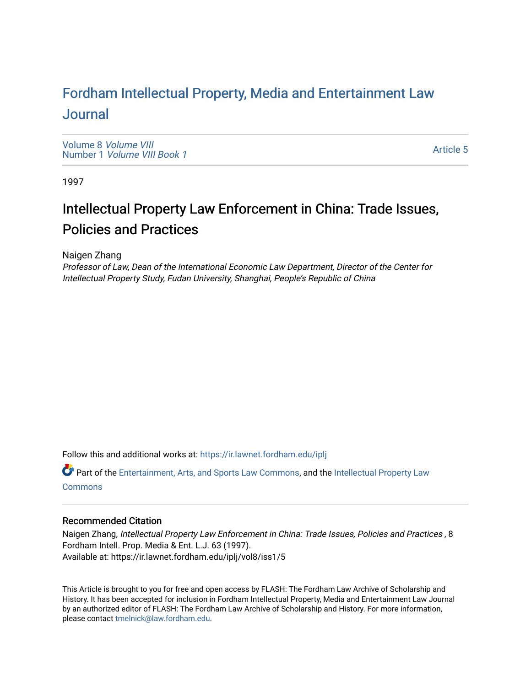# For[dham Intellectual Property, Media and Enter](https://ir.lawnet.fordham.edu/iplj)tainment Law [Journal](https://ir.lawnet.fordham.edu/iplj)

[Volume 8](https://ir.lawnet.fordham.edu/iplj/vol8) Volume VIII Number 1 [Volume VIII Book 1](https://ir.lawnet.fordham.edu/iplj/vol8/iss1)

[Article 5](https://ir.lawnet.fordham.edu/iplj/vol8/iss1/5) 

1997

# Intellectual Property Law Enforcement in China: Trade Issues, Policies and Practices

Naigen Zhang

Professor of Law, Dean of the International Economic Law Department, Director of the Center for Intellectual Property Study, Fudan University, Shanghai, People's Republic of China

Follow this and additional works at: [https://ir.lawnet.fordham.edu/iplj](https://ir.lawnet.fordham.edu/iplj?utm_source=ir.lawnet.fordham.edu%2Fiplj%2Fvol8%2Fiss1%2F5&utm_medium=PDF&utm_campaign=PDFCoverPages) 

Part of the [Entertainment, Arts, and Sports Law Commons](http://network.bepress.com/hgg/discipline/893?utm_source=ir.lawnet.fordham.edu%2Fiplj%2Fvol8%2Fiss1%2F5&utm_medium=PDF&utm_campaign=PDFCoverPages), and the [Intellectual Property Law](http://network.bepress.com/hgg/discipline/896?utm_source=ir.lawnet.fordham.edu%2Fiplj%2Fvol8%2Fiss1%2F5&utm_medium=PDF&utm_campaign=PDFCoverPages) **[Commons](http://network.bepress.com/hgg/discipline/896?utm_source=ir.lawnet.fordham.edu%2Fiplj%2Fvol8%2Fiss1%2F5&utm_medium=PDF&utm_campaign=PDFCoverPages)** 

# Recommended Citation

Naigen Zhang, Intellectual Property Law Enforcement in China: Trade Issues, Policies and Practices , 8 Fordham Intell. Prop. Media & Ent. L.J. 63 (1997). Available at: https://ir.lawnet.fordham.edu/iplj/vol8/iss1/5

This Article is brought to you for free and open access by FLASH: The Fordham Law Archive of Scholarship and History. It has been accepted for inclusion in Fordham Intellectual Property, Media and Entertainment Law Journal by an authorized editor of FLASH: The Fordham Law Archive of Scholarship and History. For more information, please contact [tmelnick@law.fordham.edu](mailto:tmelnick@law.fordham.edu).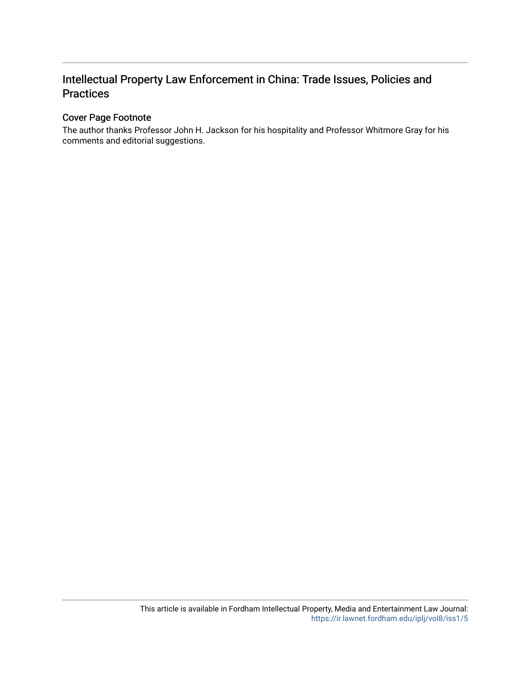# Intellectual Property Law Enforcement in China: Trade Issues, Policies and Practices

## Cover Page Footnote

The author thanks Professor John H. Jackson for his hospitality and Professor Whitmore Gray for his comments and editorial suggestions.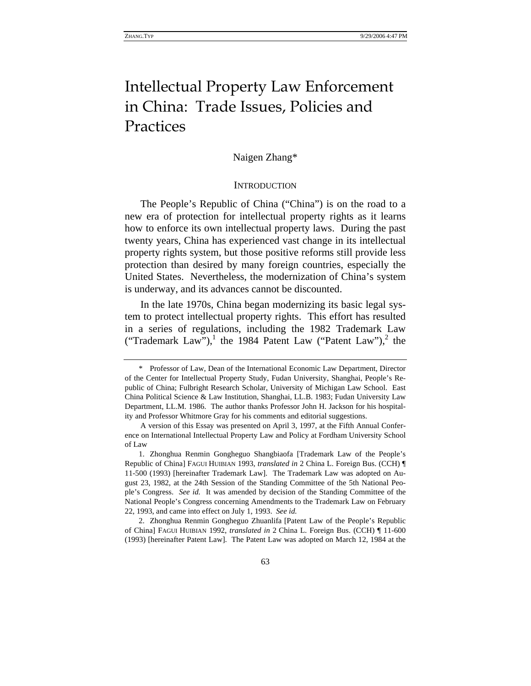# Intellectual Property Law Enforcement in China: Trade Issues, Policies and Practices

#### Naigen Zhang\*

#### **INTRODUCTION**

The People's Republic of China ("China") is on the road to a new era of protection for intellectual property rights as it learns how to enforce its own intellectual property laws. During the past twenty years, China has experienced vast change in its intellectual property rights system, but those positive reforms still provide less protection than desired by many foreign countries, especially the United States. Nevertheless, the modernization of China's system is underway, and its advances cannot be discounted.

In the late 1970s, China began modernizing its basic legal system to protect intellectual property rights. This effort has resulted in a series of regulations, including the 1982 Trademark Law ("Trademark Law"),<sup>1</sup> the 1984 Patent Law ("Patent Law"),<sup>2</sup> the

2. Zhonghua Renmin Gongheguo Zhuanlifa [Patent Law of the People's Republic of China] FAGUI HUIBIAN 1992, *translated in* 2 China L. Foreign Bus. (CCH) ¶ 11-600 (1993) [hereinafter Patent Law]. The Patent Law was adopted on March 12, 1984 at the

<sup>\*</sup> Professor of Law, Dean of the International Economic Law Department, Director of the Center for Intellectual Property Study, Fudan University, Shanghai, People's Republic of China; Fulbright Research Scholar, University of Michigan Law School. East China Political Science & Law Institution, Shanghai, LL.B. 1983; Fudan University Law Department, LL.M. 1986. The author thanks Professor John H. Jackson for his hospitality and Professor Whitmore Gray for his comments and editorial suggestions.

A version of this Essay was presented on April 3, 1997, at the Fifth Annual Conference on International Intellectual Property Law and Policy at Fordham University School of Law

<sup>1.</sup> Zhonghua Renmin Gongheguo Shangbiaofa [Trademark Law of the People's Republic of China] FAGUI HUIBIAN 1993, *translated in* 2 China L. Foreign Bus. (CCH) ¶ 11-500 (1993) [hereinafter Trademark Law]. The Trademark Law was adopted on August 23, 1982, at the 24th Session of the Standing Committee of the 5th National People's Congress. *See id.* It was amended by decision of the Standing Committee of the National People's Congress concerning Amendments to the Trademark Law on February 22, 1993, and came into effect on July 1, 1993. *See id.*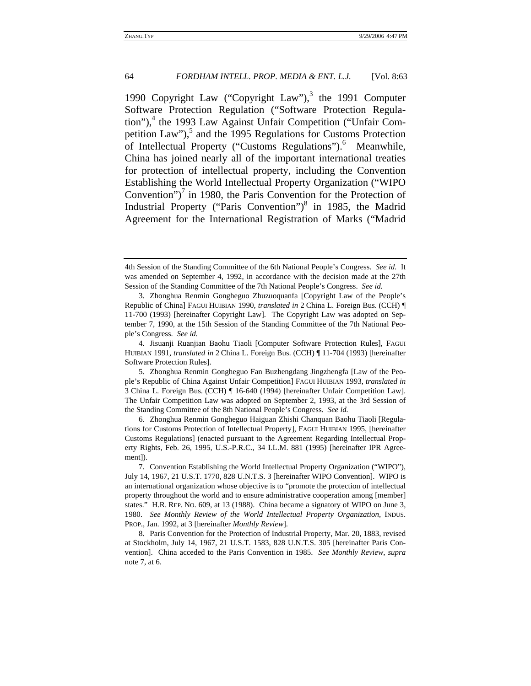1990 Copyright Law ("Copyright Law"), $3$  the 1991 Computer Software Protection Regulation ("Software Protection Regulation"),<sup>4</sup> the 1993 Law Against Unfair Competition ("Unfair Competition Law"), $5$  and the 1995 Regulations for Customs Protection of Intellectual Property ("Customs Regulations").<sup>6</sup> Meanwhile, China has joined nearly all of the important international treaties for protection of intellectual property, including the Convention Establishing the World Intellectual Property Organization ("WIPO Convention") $^7$  in 1980, the Paris Convention for the Protection of Industrial Property ("Paris Convention") $8$  in 1985, the Madrid Agreement for the International Registration of Marks ("Madrid

<sup>4</sup>th Session of the Standing Committee of the 6th National People's Congress. *See id.* It was amended on September 4, 1992, in accordance with the decision made at the 27th Session of the Standing Committee of the 7th National People's Congress. *See id.*

<sup>3.</sup> Zhonghua Renmin Gongheguo Zhuzuoquanfa [Copyright Law of the People's Republic of China] FAGUI HUIBIAN 1990, *translated in* 2 China L. Foreign Bus. (CCH) ¶ 11-700 (1993) [hereinafter Copyright Law]. The Copyright Law was adopted on September 7, 1990, at the 15th Session of the Standing Committee of the 7th National People's Congress. *See id.*

<sup>4.</sup> Jisuanji Ruanjian Baohu Tiaoli [Computer Software Protection Rules], FAGUI HUIBIAN 1991, *translated in* 2 China L. Foreign Bus. (CCH) ¶ 11-704 (1993) [hereinafter Software Protection Rules].

<sup>5.</sup> Zhonghua Renmin Gongheguo Fan Buzhengdang Jingzhengfa [Law of the People's Republic of China Against Unfair Competition] FAGUI HUIBIAN 1993, *translated in* 3 China L. Foreign Bus. (CCH) ¶ 16-640 (1994) [hereinafter Unfair Competition Law]. The Unfair Competition Law was adopted on September 2, 1993, at the 3rd Session of the Standing Committee of the 8th National People's Congress. *See id.*

<sup>6.</sup> Zhonghua Renmin Gongheguo Haiguan Zhishi Chanquan Baohu Tiaoli [Regulations for Customs Protection of Intellectual Property], FAGUI HUIBIAN 1995, [hereinafter Customs Regulations] (enacted pursuant to the Agreement Regarding Intellectual Property Rights, Feb. 26, 1995, U.S.-P.R.C., 34 I.L.M. 881 (1995) [hereinafter IPR Agreement]).

<sup>7.</sup> Convention Establishing the World Intellectual Property Organization ("WIPO"), July 14, 1967, 21 U.S.T. 1770, 828 U.N.T.S. 3 [hereinafter WIPO Convention]. WIPO is an international organization whose objective is to "promote the protection of intellectual property throughout the world and to ensure administrative cooperation among [member] states." H.R. REP. NO. 609, at 13 (1988). China became a signatory of WIPO on June 3, 1980. *See Monthly Review of the World Intellectual Property Organization*, INDUS. PROP., Jan. 1992, at 3 [hereinafter *Monthly Review*].

<sup>8.</sup> Paris Convention for the Protection of Industrial Property, Mar. 20, 1883, revised at Stockholm, July 14, 1967, 21 U.S.T. 1583, 828 U.N.T.S. 305 [hereinafter Paris Convention]. China acceded to the Paris Convention in 1985. *See Monthly Review*, *supra* note 7, at 6.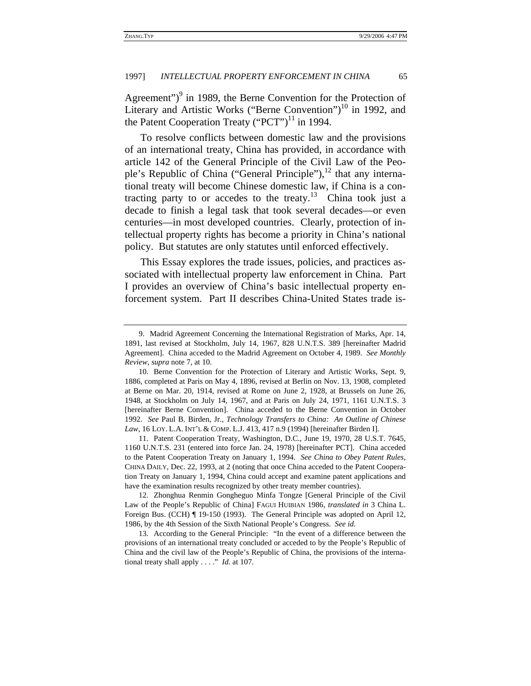Agreement")<sup>9</sup> in 1989, the Berne Convention for the Protection of Literary and Artistic Works ("Berne Convention")<sup>10</sup> in 1992, and the Patent Cooperation Treaty ("PCT")<sup>11</sup> in 1994.

To resolve conflicts between domestic law and the provisions of an international treaty, China has provided, in accordance with article 142 of the General Principle of the Civil Law of the People's Republic of China ("General Principle"), $^{12}$  that any international treaty will become Chinese domestic law, if China is a contracting party to or accedes to the treaty.13 China took just a decade to finish a legal task that took several decades—or even centuries—in most developed countries. Clearly, protection of intellectual property rights has become a priority in China's national policy. But statutes are only statutes until enforced effectively.

This Essay explores the trade issues, policies, and practices associated with intellectual property law enforcement in China. Part I provides an overview of China's basic intellectual property enforcement system. Part II describes China-United States trade is-

11. Patent Cooperation Treaty, Washington, D.C., June 19, 1970, 28 U.S.T. 7645, 1160 U.N.T.S. 231 (entered into force Jan. 24, 1978) [hereinafter PCT]. China acceded to the Patent Cooperation Treaty on January 1, 1994. *See China to Obey Patent Rules*, CHINA DAILY, Dec. 22, 1993, at 2 (noting that once China acceded to the Patent Cooperation Treaty on January 1, 1994, China could accept and examine patent applications and have the examination results recognized by other treaty member countries).

12. Zhonghua Renmin Gongheguo Minfa Tongze [General Principle of the Civil Law of the People's Republic of China] FAGUI HUIBIAN 1986, *translated in* 3 China L. Foreign Bus. (CCH) ¶ 19-150 (1993). The General Principle was adopted on April 12, 1986, by the 4th Session of the Sixth National People's Congress. *See id.*

13. According to the General Principle: "In the event of a difference between the provisions of an international treaty concluded or acceded to by the People's Republic of China and the civil law of the People's Republic of China, the provisions of the international treaty shall apply . . . ." *Id.* at 107.

<sup>9.</sup> Madrid Agreement Concerning the International Registration of Marks, Apr. 14, 1891, last revised at Stockholm, July 14, 1967, 828 U.N.T.S. 389 [hereinafter Madrid Agreement]. China acceded to the Madrid Agreement on October 4, 1989. *See Monthly Review*, *supra* note 7, at 10.

<sup>10.</sup> Berne Convention for the Protection of Literary and Artistic Works, Sept. 9, 1886, completed at Paris on May 4, 1896, revised at Berlin on Nov. 13, 1908, completed at Berne on Mar. 20, 1914, revised at Rome on June 2, 1928, at Brussels on June 26, 1948, at Stockholm on July 14, 1967, and at Paris on July 24, 1971, 1161 U.N.T.S. 3 [hereinafter Berne Convention]. China acceded to the Berne Convention in October 1992. *See* Paul B. Birden, Jr., *Technology Transfers to China: An Outline of Chinese Law*, 16 LOY. L.A. INT'L & COMP. L.J. 413, 417 n.9 (1994) [hereinafter Birden I].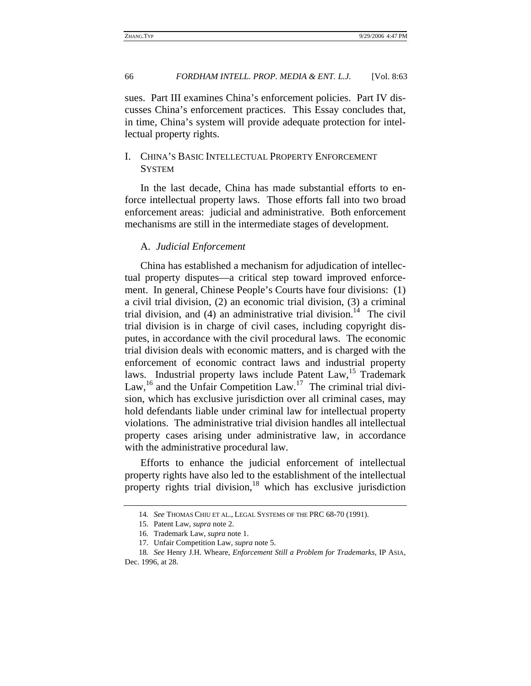sues. Part III examines China's enforcement policies. Part IV discusses China's enforcement practices. This Essay concludes that, in time, China's system will provide adequate protection for intellectual property rights.

### I. CHINA'S BASIC INTELLECTUAL PROPERTY ENFORCEMENT **SYSTEM**

In the last decade, China has made substantial efforts to enforce intellectual property laws. Those efforts fall into two broad enforcement areas: judicial and administrative. Both enforcement mechanisms are still in the intermediate stages of development.

#### A. *Judicial Enforcement*

China has established a mechanism for adjudication of intellectual property disputes—a critical step toward improved enforcement. In general, Chinese People's Courts have four divisions: (1) a civil trial division, (2) an economic trial division, (3) a criminal trial division, and  $(4)$  an administrative trial division.<sup>14</sup> The civil trial division is in charge of civil cases, including copyright disputes, in accordance with the civil procedural laws. The economic trial division deals with economic matters, and is charged with the enforcement of economic contract laws and industrial property laws. Industrial property laws include Patent Law,<sup>15</sup> Trademark Law,<sup>16</sup> and the Unfair Competition Law.<sup>17</sup> The criminal trial division, which has exclusive jurisdiction over all criminal cases, may hold defendants liable under criminal law for intellectual property violations. The administrative trial division handles all intellectual property cases arising under administrative law, in accordance with the administrative procedural law.

Efforts to enhance the judicial enforcement of intellectual property rights have also led to the establishment of the intellectual property rights trial division, $18$  which has exclusive jurisdiction

<sup>14</sup>*. See* THOMAS CHIU ET AL., LEGAL SYSTEMS OF THE PRC 68-70 (1991).

<sup>15.</sup> Patent Law, *supra* note 2.

<sup>16.</sup> Trademark Law, *supra* note 1.

<sup>17.</sup> Unfair Competition Law, *supra* note 5.

<sup>18</sup>*. See* Henry J.H. Wheare, *Enforcement Still a Problem for Trademarks*, IP ASIA, Dec. 1996, at 28.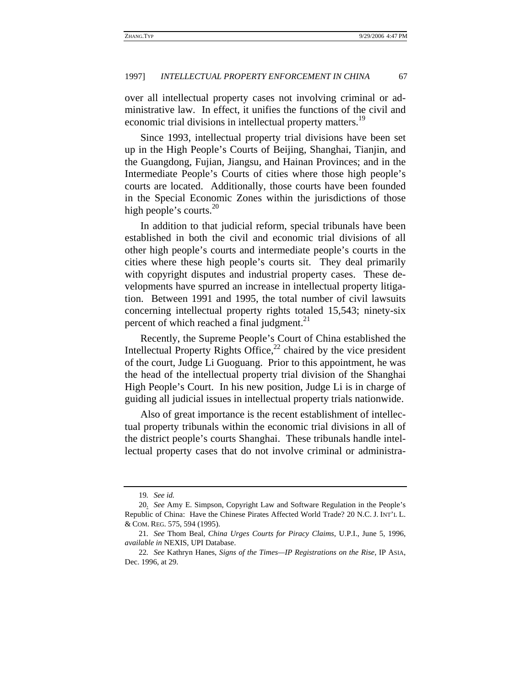over all intellectual property cases not involving criminal or administrative law. In effect, it unifies the functions of the civil and economic trial divisions in intellectual property matters.<sup>19</sup>

Since 1993, intellectual property trial divisions have been set up in the High People's Courts of Beijing, Shanghai, Tianjin, and the Guangdong, Fujian, Jiangsu, and Hainan Provinces; and in the Intermediate People's Courts of cities where those high people's courts are located. Additionally, those courts have been founded in the Special Economic Zones within the jurisdictions of those high people's courts.<sup>20</sup>

In addition to that judicial reform, special tribunals have been established in both the civil and economic trial divisions of all other high people's courts and intermediate people's courts in the cities where these high people's courts sit. They deal primarily with copyright disputes and industrial property cases. These developments have spurred an increase in intellectual property litigation. Between 1991 and 1995, the total number of civil lawsuits concerning intellectual property rights totaled 15,543; ninety-six percent of which reached a final judgment.<sup>21</sup>

Recently, the Supreme People's Court of China established the Intellectual Property Rights Office, $^{22}$  chaired by the vice president of the court, Judge Li Guoguang. Prior to this appointment, he was the head of the intellectual property trial division of the Shanghai High People's Court. In his new position, Judge Li is in charge of guiding all judicial issues in intellectual property trials nationwide.

Also of great importance is the recent establishment of intellectual property tribunals within the economic trial divisions in all of the district people's courts Shanghai. These tribunals handle intellectual property cases that do not involve criminal or administra-

<sup>19</sup>*. See id.*

<sup>20.</sup> *See* Amy E. Simpson, Copyright Law and Software Regulation in the People's Republic of China: Have the Chinese Pirates Affected World Trade? 20 N.C. J. INT'L L. & COM. REG. 575, 594 (1995).

<sup>21</sup>*. See* Thom Beal, *China Urges Courts for Piracy Claims*, U.P.I., June 5, 1996, *available in* NEXIS, UPI Database.

<sup>22</sup>*. See* Kathryn Hanes, *Signs of the Times—IP Registrations on the Rise*, IP ASIA, Dec. 1996, at 29.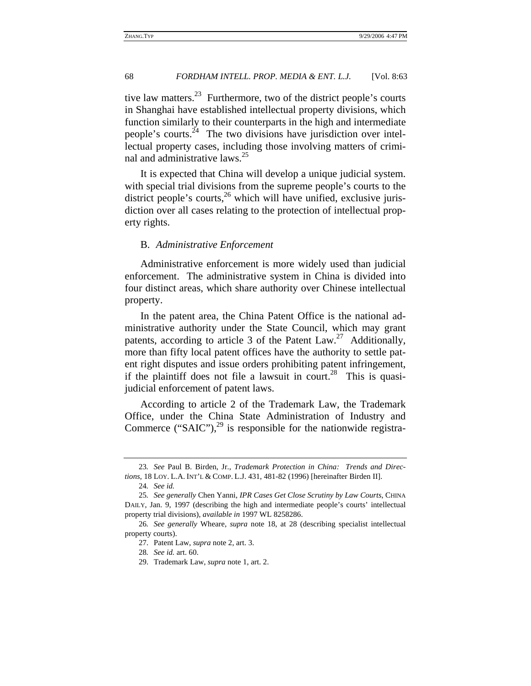tive law matters.<sup>23</sup> Furthermore, two of the district people's courts in Shanghai have established intellectual property divisions, which function similarly to their counterparts in the high and intermediate people's courts. $^{24}$  The two divisions have jurisdiction over intellectual property cases, including those involving matters of criminal and administrative laws.<sup>25</sup>

It is expected that China will develop a unique judicial system. with special trial divisions from the supreme people's courts to the district people's courts, $^{26}$  which will have unified, exclusive jurisdiction over all cases relating to the protection of intellectual property rights.

#### B. *Administrative Enforcement*

Administrative enforcement is more widely used than judicial enforcement. The administrative system in China is divided into four distinct areas, which share authority over Chinese intellectual property.

In the patent area, the China Patent Office is the national administrative authority under the State Council, which may grant patents, according to article 3 of the Patent Law.<sup>27</sup> Additionally, more than fifty local patent offices have the authority to settle patent right disputes and issue orders prohibiting patent infringement, if the plaintiff does not file a lawsuit in court.<sup>28</sup> This is quasijudicial enforcement of patent laws.

According to article 2 of the Trademark Law, the Trademark Office, under the China State Administration of Industry and Commerce ("SAIC"), $^{29}$  is responsible for the nationwide registra-

<sup>23</sup>*. See* Paul B. Birden, Jr., *Trademark Protection in China: Trends and Directions*, 18 LOY. L.A. INT'L & COMP. L.J. 431, 481-82 (1996) [hereinafter Birden II].

<sup>24</sup>*. See id.*

<sup>25</sup>*. See generally* Chen Yanni, *IPR Cases Get Close Scrutiny by Law Courts*, CHINA DAILY, Jan. 9, 1997 (describing the high and intermediate people's courts' intellectual property trial divisions), *available in* 1997 WL 8258286.

<sup>26</sup>*. See generally* Wheare, *supra* note 18, at 28 (describing specialist intellectual property courts).

<sup>27.</sup> Patent Law, *supra* note 2, art. 3.

<sup>28</sup>*. See id.* art. 60.

<sup>29.</sup> Trademark Law, *supra* note 1, art. 2.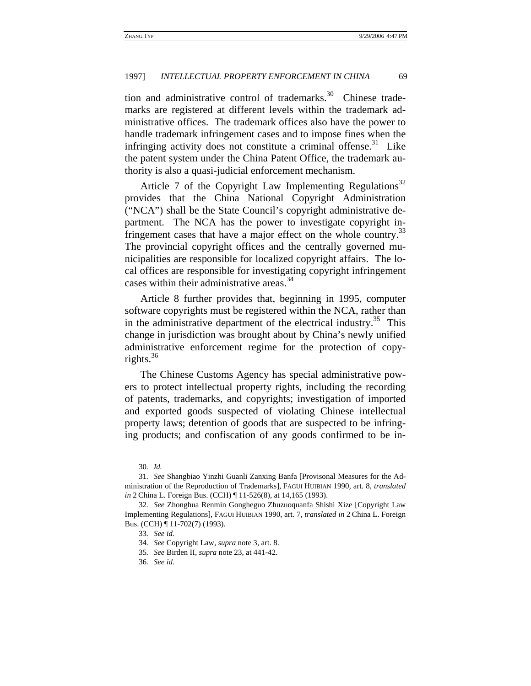tion and administrative control of trademarks. $30$  Chinese trademarks are registered at different levels within the trademark administrative offices. The trademark offices also have the power to handle trademark infringement cases and to impose fines when the infringing activity does not constitute a criminal offense.<sup>31</sup> Like the patent system under the China Patent Office, the trademark authority is also a quasi-judicial enforcement mechanism.

Article 7 of the Copyright Law Implementing Regulations<sup>32</sup> provides that the China National Copyright Administration ("NCA") shall be the State Council's copyright administrative department. The NCA has the power to investigate copyright infringement cases that have a major effect on the whole country.<sup>33</sup> The provincial copyright offices and the centrally governed municipalities are responsible for localized copyright affairs. The local offices are responsible for investigating copyright infringement cases within their administrative areas.<sup>34</sup>

Article 8 further provides that, beginning in 1995, computer software copyrights must be registered within the NCA, rather than in the administrative department of the electrical industry.<sup>35</sup> This change in jurisdiction was brought about by China's newly unified administrative enforcement regime for the protection of copyrights. $36$ 

The Chinese Customs Agency has special administrative powers to protect intellectual property rights, including the recording of patents, trademarks, and copyrights; investigation of imported and exported goods suspected of violating Chinese intellectual property laws; detention of goods that are suspected to be infringing products; and confiscation of any goods confirmed to be in-

<sup>30</sup>*. Id.*

<sup>31</sup>*. See* Shangbiao Yinzhi Guanli Zanxing Banfa [Provisonal Measures for the Administration of the Reproduction of Trademarks], FAGUI HUIBIAN 1990, art. 8, *translated in* 2 China L. Foreign Bus. (CCH)  $\P$  11-526(8), at 14,165 (1993).

<sup>32</sup>*. See* Zhonghua Renmin Gongheguo Zhuzuoquanfa Shishi Xize [Copyright Law Implementing Regulations], FAGUI HUIBIAN 1990, art. 7, *translated in* 2 China L. Foreign Bus. (CCH) ¶ 11-702(7) (1993).

<sup>33</sup>*. See id.*

<sup>34</sup>*. See* Copyright Law, *supra* note 3, art. 8.

<sup>35</sup>*. See* Birden II, *supra* note 23, at 441-42.

<sup>36</sup>*. See id.*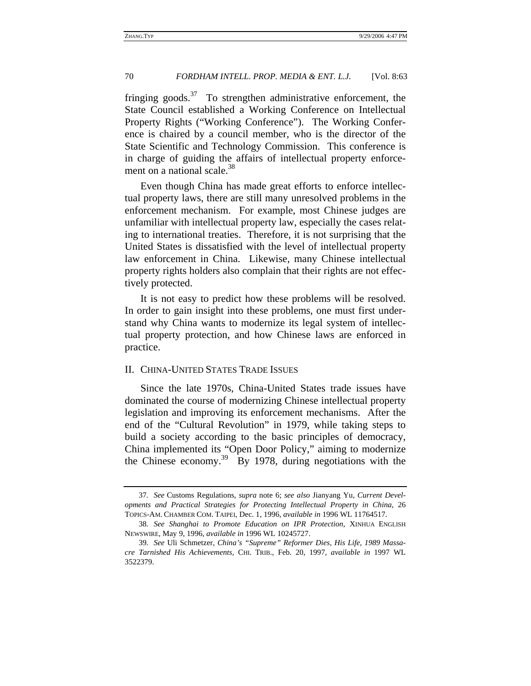fringing goods.<sup>37</sup> To strengthen administrative enforcement, the State Council established a Working Conference on Intellectual Property Rights ("Working Conference"). The Working Conference is chaired by a council member, who is the director of the State Scientific and Technology Commission. This conference is in charge of guiding the affairs of intellectual property enforcement on a national scale. $38$ 

Even though China has made great efforts to enforce intellectual property laws, there are still many unresolved problems in the enforcement mechanism. For example, most Chinese judges are unfamiliar with intellectual property law, especially the cases relating to international treaties. Therefore, it is not surprising that the United States is dissatisfied with the level of intellectual property law enforcement in China. Likewise, many Chinese intellectual property rights holders also complain that their rights are not effectively protected.

It is not easy to predict how these problems will be resolved. In order to gain insight into these problems, one must first understand why China wants to modernize its legal system of intellectual property protection, and how Chinese laws are enforced in practice.

#### II. CHINA-UNITED STATES TRADE ISSUES

Since the late 1970s, China-United States trade issues have dominated the course of modernizing Chinese intellectual property legislation and improving its enforcement mechanisms. After the end of the "Cultural Revolution" in 1979, while taking steps to build a society according to the basic principles of democracy, China implemented its "Open Door Policy," aiming to modernize the Chinese economy.<sup>39</sup> By 1978, during negotiations with the

<sup>37</sup>*. See* Customs Regulations, *supra* note 6; *see also* Jianyang Yu, *Current Developments and Practical Strategies for Protecting Intellectual Property in China*, 26 TOPICS-AM. CHAMBER COM. TAIPEI, Dec. 1, 1996, *available in* 1996 WL 11764517.

<sup>38</sup>*. See Shanghai to Promote Education on IPR Protection*, XINHUA ENGLISH NEWSWIRE, May 9, 1996, *available in* 1996 WL 10245727.

<sup>39</sup>*. See* Uli Schmetzer, *China's "Supreme" Reformer Dies, His Life, 1989 Massacre Tarnished His Achievements*, CHI. TRIB., Feb. 20, 1997, *available in* 1997 WL 3522379.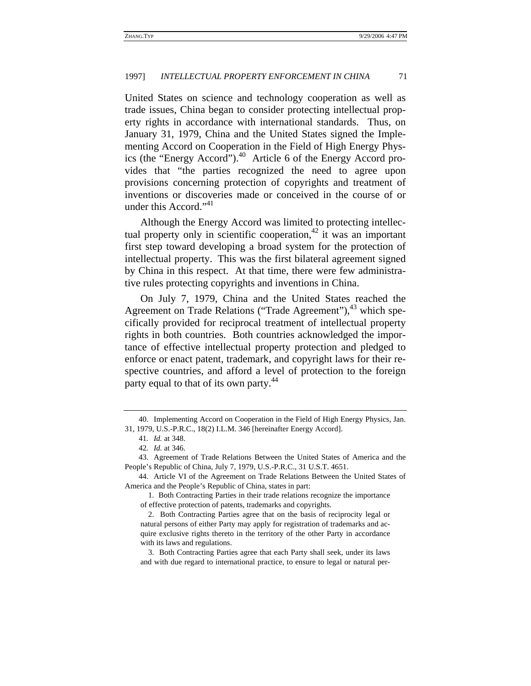United States on science and technology cooperation as well as trade issues, China began to consider protecting intellectual property rights in accordance with international standards. Thus, on January 31, 1979, China and the United States signed the Implementing Accord on Cooperation in the Field of High Energy Physics (the "Energy Accord").<sup>40</sup> Article 6 of the Energy Accord provides that "the parties recognized the need to agree upon provisions concerning protection of copyrights and treatment of inventions or discoveries made or conceived in the course of or under this Accord."<sup>41</sup>

Although the Energy Accord was limited to protecting intellectual property only in scientific cooperation,  $42$  it was an important first step toward developing a broad system for the protection of intellectual property. This was the first bilateral agreement signed by China in this respect. At that time, there were few administrative rules protecting copyrights and inventions in China.

On July 7, 1979, China and the United States reached the Agreement on Trade Relations ("Trade Agreement"), $43$  which specifically provided for reciprocal treatment of intellectual property rights in both countries. Both countries acknowledged the importance of effective intellectual property protection and pledged to enforce or enact patent, trademark, and copyright laws for their respective countries, and afford a level of protection to the foreign party equal to that of its own party.<sup>44</sup>

<sup>40.</sup> Implementing Accord on Cooperation in the Field of High Energy Physics, Jan. 31, 1979, U.S.-P.R.C., 18(2) I.L.M. 346 [hereinafter Energy Accord].

<sup>41</sup>*. Id.* at 348.

<sup>42</sup>*. Id.* at 346.

<sup>43.</sup> Agreement of Trade Relations Between the United States of America and the People's Republic of China, July 7, 1979, U.S.-P.R.C., 31 U.S.T. 4651.

<sup>44.</sup> Article VI of the Agreement on Trade Relations Between the United States of America and the People's Republic of China, states in part:

 <sup>1.</sup> Both Contracting Parties in their trade relations recognize the importance of effective protection of patents, trademarks and copyrights.

 <sup>2.</sup> Both Contracting Parties agree that on the basis of reciprocity legal or natural persons of either Party may apply for registration of trademarks and acquire exclusive rights thereto in the territory of the other Party in accordance with its laws and regulations.

 <sup>3.</sup> Both Contracting Parties agree that each Party shall seek, under its laws and with due regard to international practice, to ensure to legal or natural per-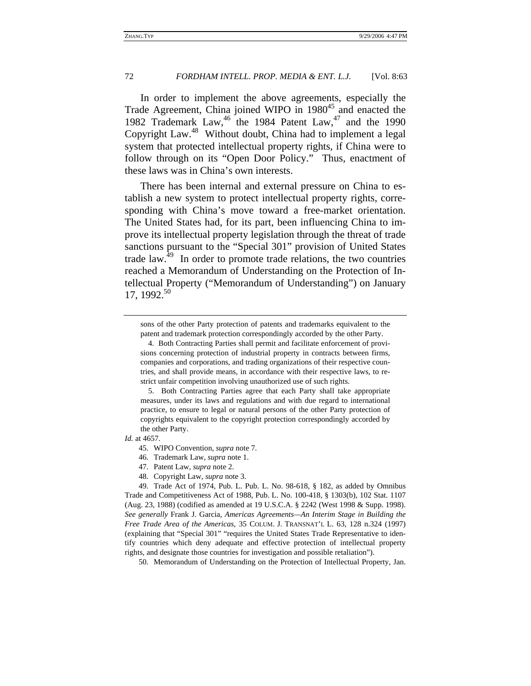In order to implement the above agreements, especially the Trade Agreement, China joined WIPO in 1980<sup>45</sup> and enacted the 1982 Trademark Law,<sup>46</sup> the 1984 Patent Law,<sup>47</sup> and the 1990 Copyright Law.48 Without doubt, China had to implement a legal system that protected intellectual property rights, if China were to follow through on its "Open Door Policy." Thus, enactment of these laws was in China's own interests.

There has been internal and external pressure on China to establish a new system to protect intellectual property rights, corresponding with China's move toward a free-market orientation. The United States had, for its part, been influencing China to improve its intellectual property legislation through the threat of trade sanctions pursuant to the "Special 301" provision of United States trade law.49 In order to promote trade relations, the two countries reached a Memorandum of Understanding on the Protection of Intellectual Property ("Memorandum of Understanding") on January 17, 1992.<sup>50</sup>

sons of the other Party protection of patents and trademarks equivalent to the patent and trademark protection correspondingly accorded by the other Party.

 5. Both Contracting Parties agree that each Party shall take appropriate measures, under its laws and regulations and with due regard to international practice, to ensure to legal or natural persons of the other Party protection of copyrights equivalent to the copyright protection correspondingly accorded by the other Party.

*Id.* at 4657.

50. Memorandum of Understanding on the Protection of Intellectual Property, Jan.

 <sup>4.</sup> Both Contracting Parties shall permit and facilitate enforcement of provisions concerning protection of industrial property in contracts between firms, companies and corporations, and trading organizations of their respective countries, and shall provide means, in accordance with their respective laws, to restrict unfair competition involving unauthorized use of such rights.

<sup>45.</sup> WIPO Convention, *supra* note 7.

<sup>46.</sup> Trademark Law, *supra* note 1.

<sup>47.</sup> Patent Law, *supra* note 2.

<sup>48.</sup> Copyright Law, *supra* note 3.

<sup>49.</sup> Trade Act of 1974, Pub. L. Pub. L. No. 98-618, § 182, as added by Omnibus Trade and Competitiveness Act of 1988, Pub. L. No. 100-418, § 1303(b), 102 Stat. 1107 (Aug. 23, 1988) (codified as amended at 19 U.S.C.A. § 2242 (West 1998 & Supp. 1998). *See generally* Frank J. Garcia, *Americas Agreements—An Interim Stage in Building the Free Trade Area of the Americas*, 35 COLUM. J. TRANSNAT'L L. 63, 128 n.324 (1997) (explaining that "Special 301" "requires the United States Trade Representative to identify countries which deny adequate and effective protection of intellectual property rights, and designate those countries for investigation and possible retaliation").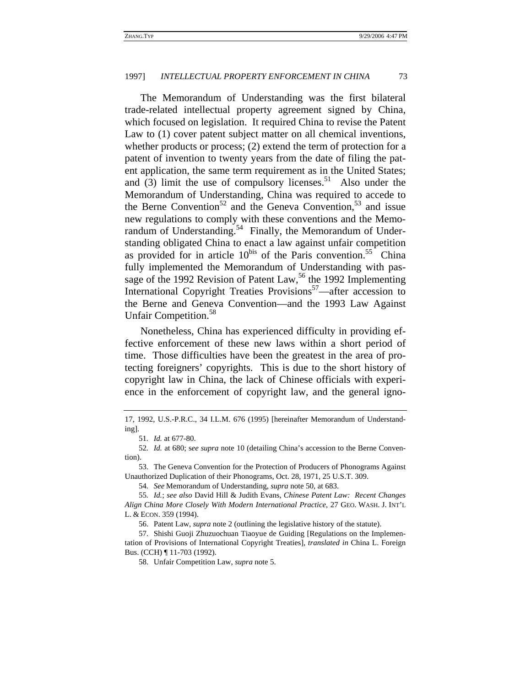The Memorandum of Understanding was the first bilateral trade-related intellectual property agreement signed by China, which focused on legislation. It required China to revise the Patent Law to (1) cover patent subject matter on all chemical inventions, whether products or process; (2) extend the term of protection for a patent of invention to twenty years from the date of filing the patent application, the same term requirement as in the United States; and (3) limit the use of compulsory licenses.<sup>51</sup> Also under the Memorandum of Understanding, China was required to accede to the Berne Convention<sup>52</sup> and the Geneva Convention,<sup>53</sup> and issue new regulations to comply with these conventions and the Memorandum of Understanding.<sup>54</sup> Finally, the Memorandum of Understanding obligated China to enact a law against unfair competition as provided for in article  $10^{bis}$  of the Paris convention.<sup>55</sup> China fully implemented the Memorandum of Understanding with passage of the 1992 Revision of Patent Law,  $56$  the 1992 Implementing International Copyright Treaties Provisions<sup>57</sup>—after accession to the Berne and Geneva Convention—and the 1993 Law Against Unfair Competition.<sup>58</sup>

Nonetheless, China has experienced difficulty in providing effective enforcement of these new laws within a short period of time. Those difficulties have been the greatest in the area of protecting foreigners' copyrights. This is due to the short history of copyright law in China, the lack of Chinese officials with experience in the enforcement of copyright law, and the general igno-

<sup>17, 1992,</sup> U.S.-P.R.C., 34 I.L.M. 676 (1995) [hereinafter Memorandum of Understanding].

<sup>51</sup>*. Id.* at 677-80.

<sup>52</sup>*. Id.* at 680; s*ee supra* note 10 (detailing China's accession to the Berne Convention).

<sup>53.</sup> The Geneva Convention for the Protection of Producers of Phonograms Against Unauthorized Duplication of their Phonograms, Oct. 28, 1971, 25 U.S.T. 309.

<sup>54</sup>*. See* Memorandum of Understanding, *supra* note 50, at 683.

<sup>55</sup>*. Id.*; *see also* David Hill & Judith Evans, *Chinese Patent Law: Recent Changes Align China More Closely With Modern International Practice*, 27 GEO. WASH. J. INT'L L. & ECON. 359 (1994).

<sup>56.</sup> Patent Law, *supra* note 2 (outlining the legislative history of the statute).

<sup>57.</sup> Shishi Guoji Zhuzuochuan Tiaoyue de Guiding [Regulations on the Implementation of Provisions of International Copyright Treaties], *translated in* China L. Foreign Bus. (CCH) ¶ 11-703 (1992).

<sup>58.</sup> Unfair Competition Law, *supra* note 5.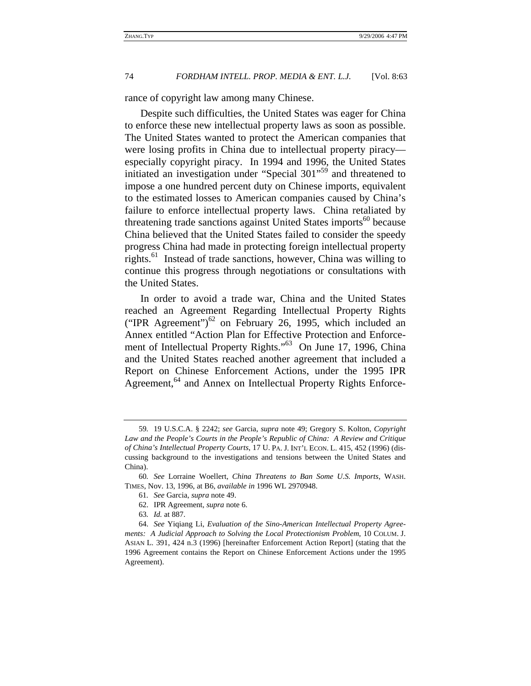rance of copyright law among many Chinese.

Despite such difficulties, the United States was eager for China to enforce these new intellectual property laws as soon as possible. The United States wanted to protect the American companies that were losing profits in China due to intellectual property piracy especially copyright piracy. In 1994 and 1996, the United States initiated an investigation under "Special 301"59 and threatened to impose a one hundred percent duty on Chinese imports, equivalent to the estimated losses to American companies caused by China's failure to enforce intellectual property laws. China retaliated by threatening trade sanctions against United States imports<sup>60</sup> because China believed that the United States failed to consider the speedy progress China had made in protecting foreign intellectual property rights.<sup>61</sup> Instead of trade sanctions, however, China was willing to continue this progress through negotiations or consultations with the United States.

In order to avoid a trade war, China and the United States reached an Agreement Regarding Intellectual Property Rights ("IPR Agreement")<sup>62</sup> on February 26, 1995, which included an Annex entitled "Action Plan for Effective Protection and Enforcement of Intellectual Property Rights."<sup>63</sup> On June 17, 1996, China and the United States reached another agreement that included a Report on Chinese Enforcement Actions, under the 1995 IPR Agreement,<sup>64</sup> and Annex on Intellectual Property Rights Enforce-

- 62. IPR Agreement, *supra* note 6.
- 63*. Id.* at 887.

<sup>59</sup>*.* 19 U.S.C.A. § 2242; *see* Garcia, *supra* note 49; Gregory S. Kolton, *Copyright Law and the People's Courts in the People's Republic of China: A Review and Critique of China's Intellectual Property Courts*, 17 U. PA. J. INT'L ECON. L. 415, 452 (1996) (discussing background to the investigations and tensions between the United States and China).

<sup>60</sup>*. See* Lorraine Woellert, *China Threatens to Ban Some U.S. Imports*, WASH. TIMES, Nov. 13, 1996, at B6, *available in* 1996 WL 2970948.

<sup>61</sup>*. See* Garcia, *supra* note 49.

<sup>64.</sup> *See* Yiqiang Li, *Evaluation of the Sino-American Intellectual Property Agreements: A Judicial Approach to Solving the Local Protectionism Problem*, 10 COLUM. J. ASIAN L. 391, 424 n.3 (1996) [hereinafter Enforcement Action Report] (stating that the 1996 Agreement contains the Report on Chinese Enforcement Actions under the 1995 Agreement).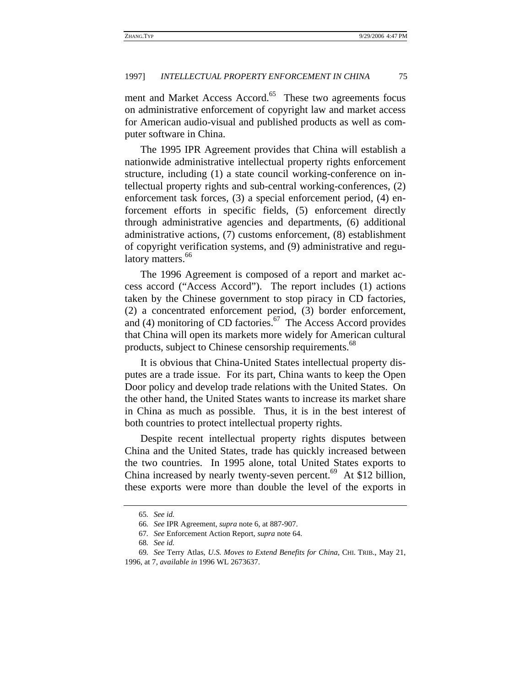ment and Market Access Accord.<sup>65</sup> These two agreements focus on administrative enforcement of copyright law and market access for American audio-visual and published products as well as computer software in China.

The 1995 IPR Agreement provides that China will establish a nationwide administrative intellectual property rights enforcement structure, including (1) a state council working-conference on intellectual property rights and sub-central working-conferences, (2) enforcement task forces, (3) a special enforcement period, (4) enforcement efforts in specific fields, (5) enforcement directly through administrative agencies and departments, (6) additional administrative actions, (7) customs enforcement, (8) establishment of copyright verification systems, and (9) administrative and regulatory matters.<sup>66</sup>

The 1996 Agreement is composed of a report and market access accord ("Access Accord"). The report includes (1) actions taken by the Chinese government to stop piracy in CD factories, (2) a concentrated enforcement period, (3) border enforcement, and  $(4)$  monitoring of CD factories.<sup>67</sup> The Access Accord provides that China will open its markets more widely for American cultural products, subject to Chinese censorship requirements.<sup>68</sup>

It is obvious that China-United States intellectual property disputes are a trade issue. For its part, China wants to keep the Open Door policy and develop trade relations with the United States. On the other hand, the United States wants to increase its market share in China as much as possible. Thus, it is in the best interest of both countries to protect intellectual property rights.

Despite recent intellectual property rights disputes between China and the United States, trade has quickly increased between the two countries. In 1995 alone, total United States exports to China increased by nearly twenty-seven percent.<sup>69</sup> At \$12 billion, these exports were more than double the level of the exports in

<sup>65</sup>*. See id.*

<sup>66</sup>*. See* IPR Agreement, *supra* note 6, at 887-907.

<sup>67</sup>*. See* Enforcement Action Report, *supra* note 64.

<sup>68</sup>*. See id.*

<sup>69</sup>*. See* Terry Atlas, *U.S. Moves to Extend Benefits for China*, CHI. TRIB., May 21, 1996, at 7, *available in* 1996 WL 2673637.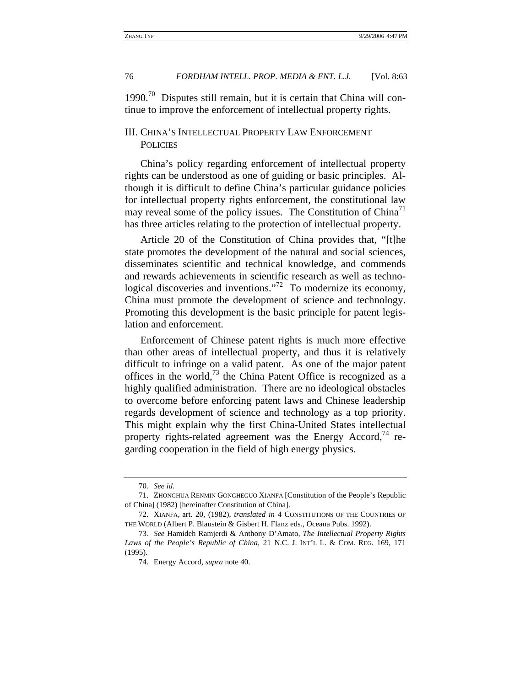$1990.^{70}$  Disputes still remain, but it is certain that China will continue to improve the enforcement of intellectual property rights.

### III. CHINA'S INTELLECTUAL PROPERTY LAW ENFORCEMENT **POLICIES**

China's policy regarding enforcement of intellectual property rights can be understood as one of guiding or basic principles. Although it is difficult to define China's particular guidance policies for intellectual property rights enforcement, the constitutional law may reveal some of the policy issues. The Constitution of  $China<sup>11</sup>$ has three articles relating to the protection of intellectual property.

Article 20 of the Constitution of China provides that, "[t]he state promotes the development of the natural and social sciences, disseminates scientific and technical knowledge, and commends and rewards achievements in scientific research as well as technological discoveries and inventions."<sup>72</sup> To modernize its economy, China must promote the development of science and technology. Promoting this development is the basic principle for patent legislation and enforcement.

Enforcement of Chinese patent rights is much more effective than other areas of intellectual property, and thus it is relatively difficult to infringe on a valid patent. As one of the major patent offices in the world, $^{73}$  the China Patent Office is recognized as a highly qualified administration. There are no ideological obstacles to overcome before enforcing patent laws and Chinese leadership regards development of science and technology as a top priority. This might explain why the first China-United States intellectual property rights-related agreement was the Energy Accord,<sup>74</sup> regarding cooperation in the field of high energy physics.

<sup>70</sup>*. See id.*

<sup>71.</sup> ZHONGHUA RENMIN GONGHEGUO XIANFA [Constitution of the People's Republic of China] (1982) [hereinafter Constitution of China].

<sup>72.</sup> XIANFA, art. 20, (1982), *translated in* 4 CONSTITUTIONS OF THE COUNTRIES OF THE WORLD (Albert P. Blaustein & Gisbert H. Flanz eds., Oceana Pubs. 1992).

<sup>73</sup>*. See* Hamideh Ramjerdi & Anthony D'Amato, *The Intellectual Property Rights Laws of the People's Republic of China*, 21 N.C. J. INT'L L. & COM. REG. 169, 171 (1995).

<sup>74.</sup> Energy Accord, *supra* note 40.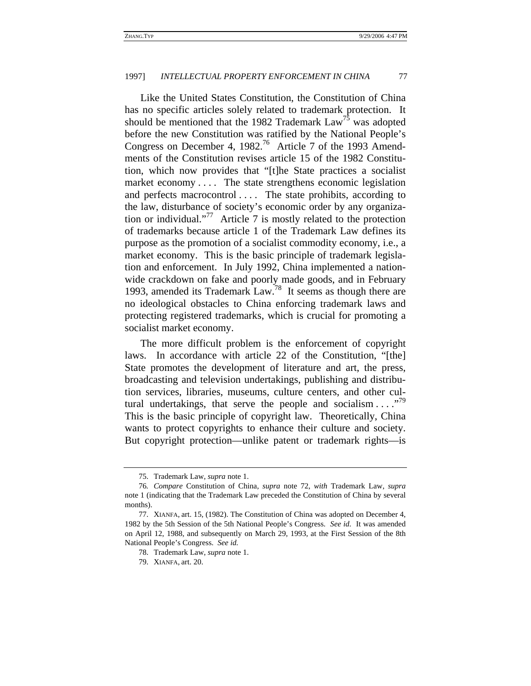Like the United States Constitution, the Constitution of China has no specific articles solely related to trademark protection. It should be mentioned that the 1982 Trademark  $Law<sup>75</sup>$  was adopted before the new Constitution was ratified by the National People's Congress on December 4, 1982.<sup>76</sup> Article 7 of the 1993 Amendments of the Constitution revises article 15 of the 1982 Constitution, which now provides that "[t]he State practices a socialist market economy .... The state strengthens economic legislation and perfects macrocontrol .... The state prohibits, according to the law, disturbance of society's economic order by any organization or individual."<sup>77</sup> Article 7 is mostly related to the protection of trademarks because article 1 of the Trademark Law defines its purpose as the promotion of a socialist commodity economy, i.e., a market economy. This is the basic principle of trademark legislation and enforcement. In July 1992, China implemented a nationwide crackdown on fake and poorly made goods, and in February 1993, amended its Trademark Law.<sup>78</sup> It seems as though there are no ideological obstacles to China enforcing trademark laws and protecting registered trademarks, which is crucial for promoting a socialist market economy.

The more difficult problem is the enforcement of copyright laws. In accordance with article 22 of the Constitution, "[the] State promotes the development of literature and art, the press, broadcasting and television undertakings, publishing and distribution services, libraries, museums, culture centers, and other cultural undertakings, that serve the people and socialism  $\dots$ ."<sup>79</sup> This is the basic principle of copyright law. Theoretically, China wants to protect copyrights to enhance their culture and society. But copyright protection—unlike patent or trademark rights—is

<sup>75.</sup> Trademark Law, *supra* note 1.

<sup>76</sup>*. Compare* Constitution of China, *supra* note 72, *with* Trademark Law, *supra* note 1 (indicating that the Trademark Law preceded the Constitution of China by several months).

<sup>77.</sup> XIANFA, art. 15, (1982). The Constitution of China was adopted on December 4, 1982 by the 5th Session of the 5th National People's Congress. *See id.* It was amended on April 12, 1988, and subsequently on March 29, 1993, at the First Session of the 8th National People's Congress. *See id.*

<sup>78.</sup> Trademark Law, *supra* note 1.

<sup>79.</sup> XIANFA, art. 20.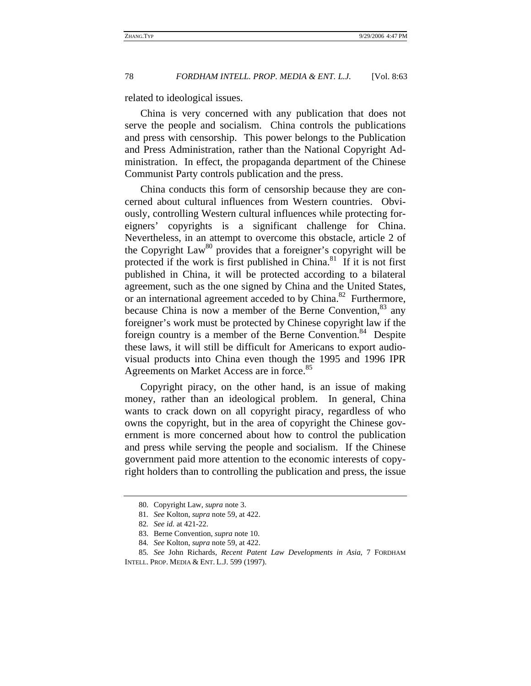related to ideological issues.

China is very concerned with any publication that does not serve the people and socialism. China controls the publications and press with censorship. This power belongs to the Publication and Press Administration, rather than the National Copyright Administration. In effect, the propaganda department of the Chinese Communist Party controls publication and the press.

China conducts this form of censorship because they are concerned about cultural influences from Western countries. Obviously, controlling Western cultural influences while protecting foreigners' copyrights is a significant challenge for China. Nevertheless, in an attempt to overcome this obstacle, article 2 of the Copyright Law<sup>80</sup> provides that a foreigner's copyright will be protected if the work is first published in China.<sup>81</sup> If it is not first published in China, it will be protected according to a bilateral agreement, such as the one signed by China and the United States, or an international agreement acceded to by China.<sup>82</sup> Furthermore, because China is now a member of the Berne Convention, <sup>83</sup> any foreigner's work must be protected by Chinese copyright law if the foreign country is a member of the Berne Convention.<sup>84</sup> Despite these laws, it will still be difficult for Americans to export audiovisual products into China even though the 1995 and 1996 IPR Agreements on Market Access are in force.<sup>85</sup>

Copyright piracy, on the other hand, is an issue of making money, rather than an ideological problem. In general, China wants to crack down on all copyright piracy, regardless of who owns the copyright, but in the area of copyright the Chinese government is more concerned about how to control the publication and press while serving the people and socialism. If the Chinese government paid more attention to the economic interests of copyright holders than to controlling the publication and press, the issue

84*. See* Kolton, *supra* note 59, at 422.

<sup>80.</sup> Copyright Law, *supra* note 3.

<sup>81</sup>*. See* Kolton, *supra* note 59, at 422.

<sup>82</sup>*. See id.* at 421-22.

<sup>83.</sup> Berne Convention, *supra* note 10.

<sup>85</sup>*. See* John Richards, *Recent Patent Law Developments in Asia*, 7 FORDHAM INTELL. PROP. MEDIA & ENT. L.J. 599 (1997).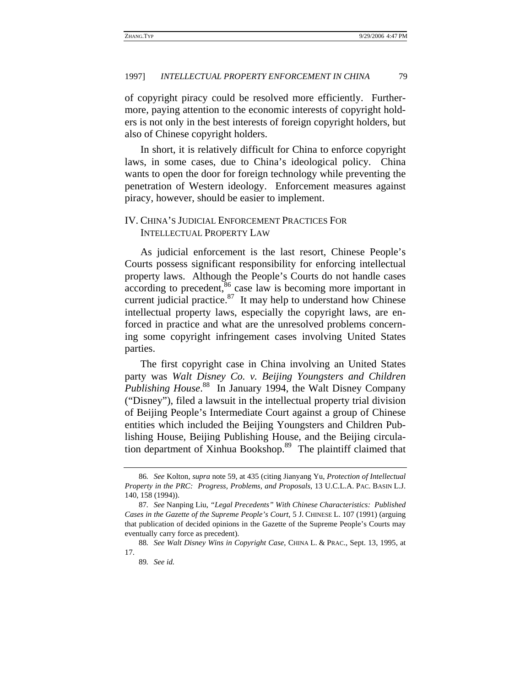of copyright piracy could be resolved more efficiently. Furthermore, paying attention to the economic interests of copyright holders is not only in the best interests of foreign copyright holders, but also of Chinese copyright holders.

In short, it is relatively difficult for China to enforce copyright laws, in some cases, due to China's ideological policy. China wants to open the door for foreign technology while preventing the penetration of Western ideology. Enforcement measures against piracy, however, should be easier to implement.

### IV. CHINA'S JUDICIAL ENFORCEMENT PRACTICES FOR INTELLECTUAL PROPERTY LAW

As judicial enforcement is the last resort, Chinese People's Courts possess significant responsibility for enforcing intellectual property laws. Although the People's Courts do not handle cases  $\arccos$  according to precedent, $\frac{86}{6}$  case law is becoming more important in current judicial practice. $87$  It may help to understand how Chinese intellectual property laws, especially the copyright laws, are enforced in practice and what are the unresolved problems concerning some copyright infringement cases involving United States parties.

The first copyright case in China involving an United States party was *Walt Disney Co. v. Beijing Youngsters and Children Publishing House*. 88 In January 1994, the Walt Disney Company ("Disney"), filed a lawsuit in the intellectual property trial division of Beijing People's Intermediate Court against a group of Chinese entities which included the Beijing Youngsters and Children Publishing House, Beijing Publishing House, and the Beijing circulation department of Xinhua Bookshop.<sup>89</sup> The plaintiff claimed that

<sup>86</sup>*. See* Kolton, *supra* note 59, at 435 (citing Jianyang Yu, *Protection of Intellectual Property in the PRC: Progress, Problems, and Proposals*, 13 U.C.L.A. PAC. BASIN L.J. 140, 158 (1994)).

<sup>87</sup>*. See* Nanping Liu, *"Legal Precedents" With Chinese Characteristics: Published Cases in the Gazette of the Supreme People's Court*, 5 J. CHINESE L. 107 (1991) (arguing that publication of decided opinions in the Gazette of the Supreme People's Courts may eventually carry force as precedent).

<sup>88</sup>*. See Walt Disney Wins in Copyright Case*, CHINA L. & PRAC., Sept. 13, 1995, at 17.

<sup>89</sup>*. See id.*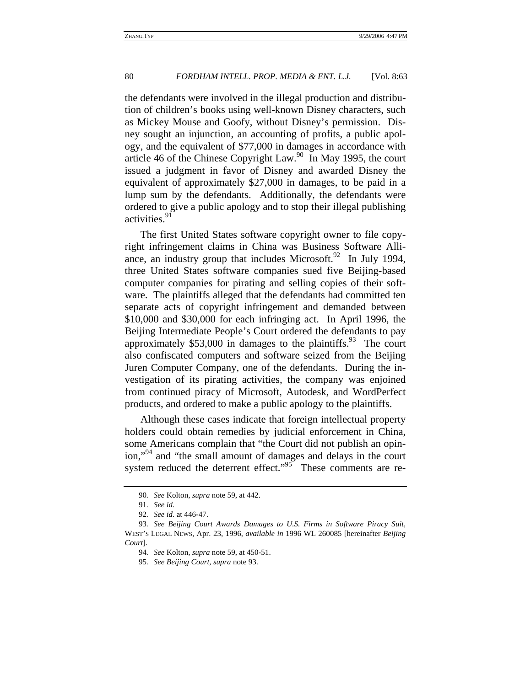the defendants were involved in the illegal production and distribution of children's books using well-known Disney characters, such as Mickey Mouse and Goofy, without Disney's permission. Disney sought an injunction, an accounting of profits, a public apology, and the equivalent of \$77,000 in damages in accordance with article 46 of the Chinese Copyright Law.90 In May 1995, the court issued a judgment in favor of Disney and awarded Disney the equivalent of approximately \$27,000 in damages, to be paid in a lump sum by the defendants. Additionally, the defendants were ordered to give a public apology and to stop their illegal publishing activities.<sup>91</sup>

The first United States software copyright owner to file copyright infringement claims in China was Business Software Alliance, an industry group that includes Microsoft. $92$  In July 1994, three United States software companies sued five Beijing-based computer companies for pirating and selling copies of their software. The plaintiffs alleged that the defendants had committed ten separate acts of copyright infringement and demanded between \$10,000 and \$30,000 for each infringing act. In April 1996, the Beijing Intermediate People's Court ordered the defendants to pay approximately  $$53,000$  in damages to the plaintiffs.<sup>93</sup> The court also confiscated computers and software seized from the Beijing Juren Computer Company, one of the defendants. During the investigation of its pirating activities, the company was enjoined from continued piracy of Microsoft, Autodesk, and WordPerfect products, and ordered to make a public apology to the plaintiffs.

Although these cases indicate that foreign intellectual property holders could obtain remedies by judicial enforcement in China, some Americans complain that "the Court did not publish an opinion,"<sup>94</sup> and "the small amount of damages and delays in the court system reduced the deterrent effect."<sup>95</sup> These comments are re-

<sup>90</sup>*. See* Kolton, *supra* note 59, at 442.

<sup>91</sup>*. See id.*

<sup>92</sup>*. See id.* at 446-47.

<sup>93</sup>*. See Beijing Court Awards Damages to U.S. Firms in Software Piracy Suit*, WEST'S LEGAL NEWS, Apr. 23, 1996, *available in* 1996 WL 260085 [hereinafter *Beijing Court*].

<sup>94</sup>*. See* Kolton, *supra* note 59, at 450-51.

<sup>95</sup>*. See Beijing Court*, *supra* note 93.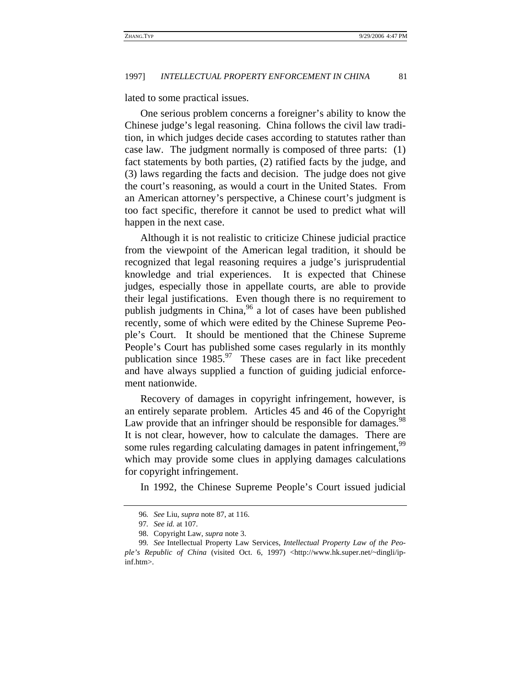lated to some practical issues.

One serious problem concerns a foreigner's ability to know the Chinese judge's legal reasoning. China follows the civil law tradition, in which judges decide cases according to statutes rather than case law. The judgment normally is composed of three parts: (1) fact statements by both parties, (2) ratified facts by the judge, and (3) laws regarding the facts and decision. The judge does not give the court's reasoning, as would a court in the United States. From an American attorney's perspective, a Chinese court's judgment is too fact specific, therefore it cannot be used to predict what will happen in the next case.

Although it is not realistic to criticize Chinese judicial practice from the viewpoint of the American legal tradition, it should be recognized that legal reasoning requires a judge's jurisprudential knowledge and trial experiences. It is expected that Chinese judges, especially those in appellate courts, are able to provide their legal justifications. Even though there is no requirement to publish judgments in China,  $96$  a lot of cases have been published recently, some of which were edited by the Chinese Supreme People's Court. It should be mentioned that the Chinese Supreme People's Court has published some cases regularly in its monthly publication since  $1985<sup>97</sup>$  These cases are in fact like precedent and have always supplied a function of guiding judicial enforcement nationwide.

Recovery of damages in copyright infringement, however, is an entirely separate problem. Articles 45 and 46 of the Copyright Law provide that an infringer should be responsible for damages.<sup>98</sup> It is not clear, however, how to calculate the damages. There are some rules regarding calculating damages in patent infringement,<sup>99</sup> which may provide some clues in applying damages calculations for copyright infringement.

In 1992, the Chinese Supreme People's Court issued judicial

<sup>96</sup>*. See* Liu, *supra* note 87, at 116.

<sup>97</sup>*. See id.* at 107.

<sup>98.</sup> Copyright Law, *supra* note 3.

<sup>99</sup>*. See* Intellectual Property Law Services, *Intellectual Property Law of the People's Republic of China* (visited Oct. 6, 1997) <http://www.hk.super.net/~dingli/ipinf.htm>.